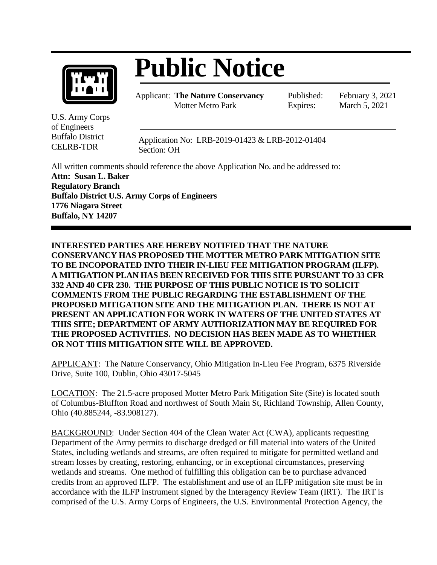

## **Public Notice**

Applicant: **The Nature Conservancy** Motter Metro Park

Published: February 3, 2021 Expires: March 5, 2021

U.S. Army Corps of Engineers Buffalo District CELRB-TDR

Application No: LRB-2019-01423 & LRB-2012-01404 Section: OH

All written comments should reference the above Application No. and be addressed to: **Attn: Susan L. Baker Regulatory Branch Buffalo District U.S. Army Corps of Engineers 1776 Niagara Street Buffalo, NY 14207**

**INTERESTED PARTIES ARE HEREBY NOTIFIED THAT THE NATURE CONSERVANCY HAS PROPOSED THE MOTTER METRO PARK MITIGATION SITE TO BE INCOPORATED INTO THEIR IN-LIEU FEE MITIGATION PROGRAM (ILFP). A MITIGATION PLAN HAS BEEN RECEIVED FOR THIS SITE PURSUANT TO 33 CFR 332 AND 40 CFR 230. THE PURPOSE OF THIS PUBLIC NOTICE IS TO SOLICIT COMMENTS FROM THE PUBLIC REGARDING THE ESTABLISHMENT OF THE PROPOSED MITIGATION SITE AND THE MITIGATION PLAN. THERE IS NOT AT PRESENT AN APPLICATION FOR WORK IN WATERS OF THE UNITED STATES AT THIS SITE; DEPARTMENT OF ARMY AUTHORIZATION MAY BE REQUIRED FOR THE PROPOSED ACTIVITIES. NO DECISION HAS BEEN MADE AS TO WHETHER OR NOT THIS MITIGATION SITE WILL BE APPROVED.**

APPLICANT: The Nature Conservancy, Ohio Mitigation In-Lieu Fee Program, 6375 Riverside Drive, Suite 100, Dublin, Ohio 43017-5045

LOCATION: The 21.5-acre proposed Motter Metro Park Mitigation Site (Site) is located south of Columbus-Bluffton Road and northwest of South Main St, Richland Township, Allen County, Ohio (40.885244, -83.908127).

BACKGROUND: Under Section 404 of the Clean Water Act (CWA), applicants requesting Department of the Army permits to discharge dredged or fill material into waters of the United States, including wetlands and streams, are often required to mitigate for permitted wetland and stream losses by creating, restoring, enhancing, or in exceptional circumstances, preserving wetlands and streams. One method of fulfilling this obligation can be to purchase advanced credits from an approved ILFP. The establishment and use of an ILFP mitigation site must be in accordance with the ILFP instrument signed by the Interagency Review Team (IRT). The IRT is comprised of the U.S. Army Corps of Engineers, the U.S. Environmental Protection Agency, the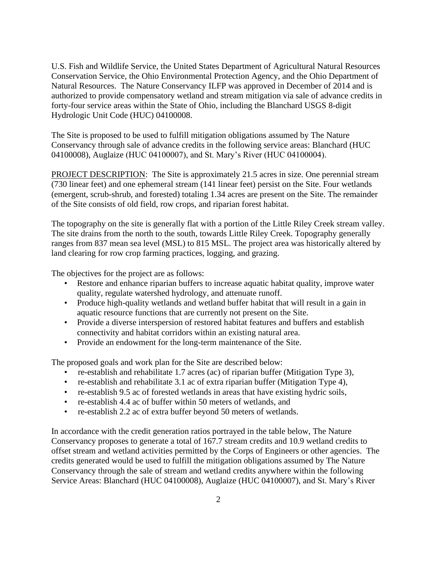U.S. Fish and Wildlife Service, the United States Department of Agricultural Natural Resources Conservation Service, the Ohio Environmental Protection Agency, and the Ohio Department of Natural Resources. The Nature Conservancy ILFP was approved in December of 2014 and is authorized to provide compensatory wetland and stream mitigation via sale of advance credits in forty-four service areas within the State of Ohio, including the Blanchard USGS 8-digit Hydrologic Unit Code (HUC) 04100008.

The Site is proposed to be used to fulfill mitigation obligations assumed by The Nature Conservancy through sale of advance credits in the following service areas: Blanchard (HUC 04100008), Auglaize (HUC 04100007), and St. Mary's River (HUC 04100004).

PROJECT DESCRIPTION: The Site is approximately 21.5 acres in size. One perennial stream (730 linear feet) and one ephemeral stream (141 linear feet) persist on the Site. Four wetlands (emergent, scrub-shrub, and forested) totaling 1.34 acres are present on the Site. The remainder of the Site consists of old field, row crops, and riparian forest habitat.

The topography on the site is generally flat with a portion of the Little Riley Creek stream valley. The site drains from the north to the south, towards Little Riley Creek. Topography generally ranges from 837 mean sea level (MSL) to 815 MSL. The project area was historically altered by land clearing for row crop farming practices, logging, and grazing.

The objectives for the project are as follows:

- Restore and enhance riparian buffers to increase aquatic habitat quality, improve water quality, regulate watershed hydrology, and attenuate runoff.
- Produce high-quality wetlands and wetland buffer habitat that will result in a gain in aquatic resource functions that are currently not present on the Site.
- Provide a diverse interspersion of restored habitat features and buffers and establish connectivity and habitat corridors within an existing natural area.
- Provide an endowment for the long-term maintenance of the Site.

The proposed goals and work plan for the Site are described below:

- re-establish and rehabilitate 1.7 acres (ac) of riparian buffer (Mitigation Type 3),
- re-establish and rehabilitate 3.1 ac of extra riparian buffer (Mitigation Type 4),
- re-establish 9.5 ac of forested wetlands in areas that have existing hydric soils,
- re-establish 4.4 ac of buffer within 50 meters of wetlands, and
- re-establish 2.2 ac of extra buffer beyond 50 meters of wetlands.

In accordance with the credit generation ratios portrayed in the table below, The Nature Conservancy proposes to generate a total of 167.7 stream credits and 10.9 wetland credits to offset stream and wetland activities permitted by the Corps of Engineers or other agencies. The credits generated would be used to fulfill the mitigation obligations assumed by The Nature Conservancy through the sale of stream and wetland credits anywhere within the following Service Areas: Blanchard (HUC 04100008), Auglaize (HUC 04100007), and St. Mary's River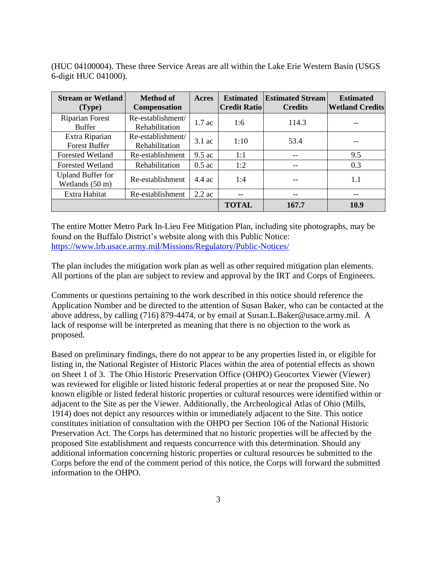(HUC 04100004). These three Service Areas are all within the Lake Erie Western Basin (USGS 6-digit HUC 041000).

| <b>Stream or Wetland</b><br>(Type)          | <b>Method of</b><br><b>Compensation</b> | Acres            | <b>Estimated</b><br><b>Credit Ratiol</b> | <b>Estimated Stream</b><br><b>Credits</b> | <b>Estimated</b><br><b>Wetland Credits</b> |
|---------------------------------------------|-----------------------------------------|------------------|------------------------------------------|-------------------------------------------|--------------------------------------------|
| <b>Riparian Forest</b><br><b>Buffer</b>     | Re-establishment/<br>Rehabilitation     | $1.7$ ac         | 1:6                                      | 114.3                                     |                                            |
| Extra Riparian<br><b>Forest Buffer</b>      | Re-establishment/<br>Rehabilitation     | $3.1$ ac         | 1:10                                     | 53.4                                      |                                            |
| <b>Forested Wetland</b>                     | Re-establishment                        | $9.5 \text{ ac}$ | 1:1                                      | $-$                                       | 9.5                                        |
| <b>Forested Wetland</b>                     | Rehabilitation                          | $0.5$ ac         | 1:2                                      | --                                        | 0.3                                        |
| <b>Upland Buffer for</b><br>Wetlands (50 m) | Re-establishment                        | $4.4 \text{ ac}$ | 1:4                                      |                                           | 1.1                                        |
| Extra Habitat                               | Re-establishment                        | $2.2$ ac         | $- -$                                    | --                                        | --                                         |
|                                             |                                         |                  | <b>TOTAL</b>                             | 167.7                                     | 10.9                                       |

The entire Motter Metro Park In-Lieu Fee Mitigation Plan, including site photographs, may be found on the Buffalo District's website along with this Public Notice: <https://www.lrb.usace.army.mil/Missions/Regulatory/Public-Notices/>

The plan includes the mitigation work plan as well as other required mitigation plan elements. All portions of the plan are subject to review and approval by the IRT and Corps of Engineers.

Comments or questions pertaining to the work described in this notice should reference the Application Number and be directed to the attention of Susan Baker, who can be contacted at the above address, by calling (716) 879-4474, or by email at Susan.L.Baker@usace.army.mil. A lack of response will be interpreted as meaning that there is no objection to the work as proposed.

Based on preliminary findings, there do not appear to be any properties listed in, or eligible for listing in, the National Register of Historic Places within the area of potential effects as shown on Sheet 1 of 3. The Ohio Historic Preservation Office (OHPO) Geocortex Viewer (Viewer) was reviewed for eligible or listed historic federal properties at or near the proposed Site. No known eligible or listed federal historic properties or cultural resources were identified within or adjacent to the Site as per the Viewer. Additionally, the Archeological Atlas of Ohio (Mills, 1914) does not depict any resources within or immediately adjacent to the Site. This notice constitutes initiation of consultation with the OHPO per Section 106 of the National Historic Preservation Act. The Corps has determined that no historic properties will be affected by the proposed Site establishment and requests concurrence with this determination. Should any additional information concerning historic properties or cultural resources be submitted to the Corps before the end of the comment period of this notice, the Corps will forward the submitted information to the OHPO.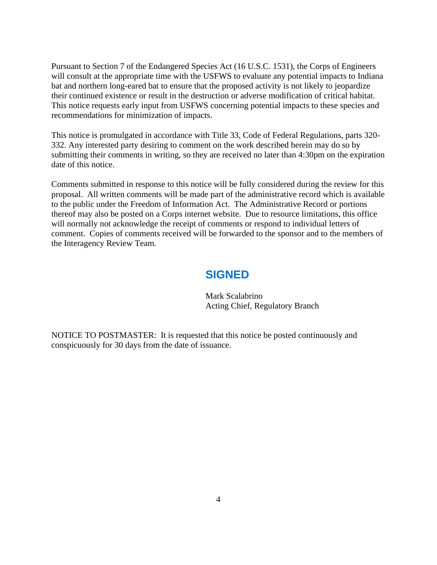Pursuant to Section 7 of the Endangered Species Act (16 U.S.C. 1531), the Corps of Engineers will consult at the appropriate time with the USFWS to evaluate any potential impacts to Indiana bat and northern long-eared bat to ensure that the proposed activity is not likely to jeopardize their continued existence or result in the destruction or adverse modification of critical habitat. This notice requests early input from USFWS concerning potential impacts to these species and recommendations for minimization of impacts.

This notice is promulgated in accordance with Title 33, Code of Federal Regulations, parts 320- 332. Any interested party desiring to comment on the work described herein may do so by submitting their comments in writing, so they are received no later than 4:30pm on the expiration date of this notice.

Comments submitted in response to this notice will be fully considered during the review for this proposal. All written comments will be made part of the administrative record which is available to the public under the Freedom of Information Act. The Administrative Record or portions thereof may also be posted on a Corps internet website. Due to resource limitations, this office will normally not acknowledge the receipt of comments or respond to individual letters of comment. Copies of comments received will be forwarded to the sponsor and to the members of the Interagency Review Team.

## **SIGNED**

Mark Scalabrino Acting Chief, Regulatory Branch

NOTICE TO POSTMASTER: It is requested that this notice be posted continuously and conspicuously for 30 days from the date of issuance.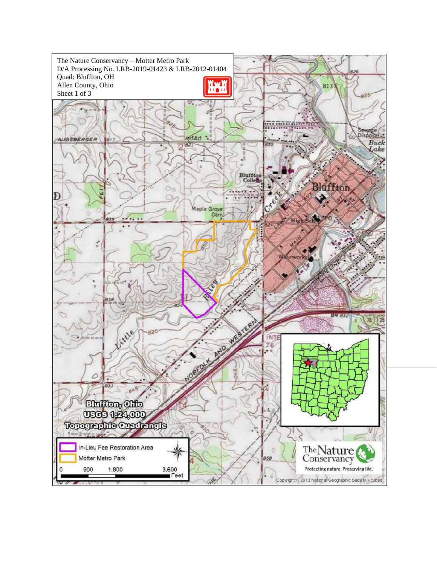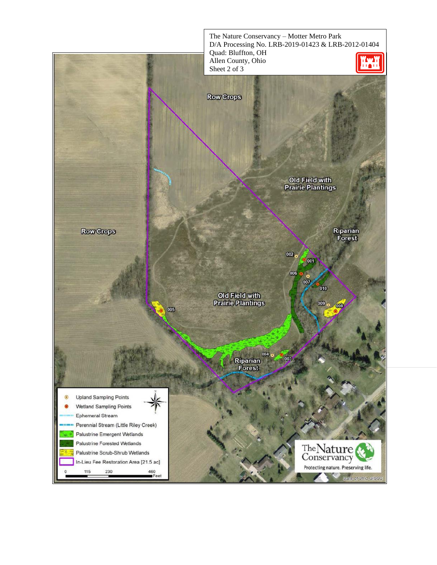